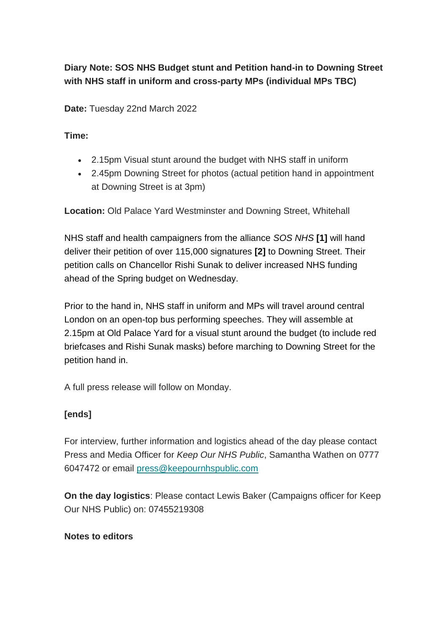## **Diary Note: SOS NHS Budget stunt and Petition hand-in to Downing Street with NHS staff in uniform and cross-party MPs (individual MPs TBC)**

**Date:** Tuesday 22nd March 2022

**Time:**

- 2.15pm Visual stunt around the budget with NHS staff in uniform
- 2.45pm Downing Street for photos (actual petition hand in appointment at Downing Street is at 3pm)

**Location:** Old Palace Yard Westminster and Downing Street, Whitehall

NHS staff and health campaigners from the alliance *SOS NHS* **[1]** will hand deliver their petition of over 115,000 signatures **[2]** to Downing Street. Their petition calls on Chancellor Rishi Sunak to deliver increased NHS funding ahead of the Spring budget on Wednesday.

Prior to the hand in, NHS staff in uniform and MPs will travel around central London on an open-top bus performing speeches. They will assemble at 2.15pm at Old Palace Yard for a visual stunt around the budget (to include red briefcases and Rishi Sunak masks) before marching to Downing Street for the petition hand in.

A full press release will follow on Monday.

## **[ends]**

For interview, further information and logistics ahead of the day please contact Press and Media Officer for *Keep Our NHS Public*, Samantha Wathen on 0777 6047472 or email [press@keepournhspublic.com](mailto:press@keepournhspublic.com?subject=Inquiry%20about%20petition%20hand-in)

**On the day logistics**: Please contact Lewis Baker (Campaigns officer for Keep Our NHS Public) on: 07455219308

## **Notes to editors**